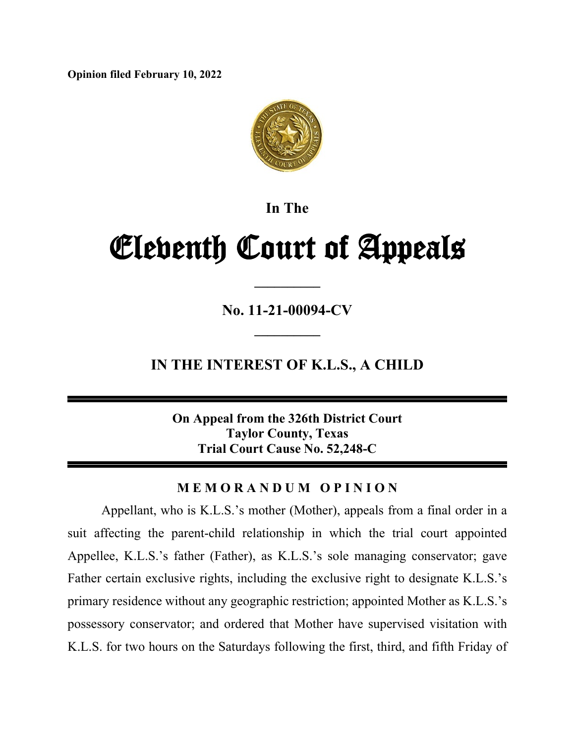**Opinion filed February 10, 2022**



**In The**

# Eleventh Court of Appeals

**No. 11-21-00094-CV**

**\_\_\_\_\_\_\_\_\_\_**

**\_\_\_\_\_\_\_\_\_\_**

**IN THE INTEREST OF K.L.S., A CHILD**

**On Appeal from the 326th District Court Taylor County, Texas Trial Court Cause No. 52,248-C**

### **M E M O R A N D U M O P I N I O N**

Appellant, who is K.L.S.'s mother (Mother), appeals from a final order in a suit affecting the parent-child relationship in which the trial court appointed Appellee, K.L.S.'s father (Father), as K.L.S.'s sole managing conservator; gave Father certain exclusive rights, including the exclusive right to designate K.L.S.'s primary residence without any geographic restriction; appointed Mother as K.L.S.'s possessory conservator; and ordered that Mother have supervised visitation with K.L.S. for two hours on the Saturdays following the first, third, and fifth Friday of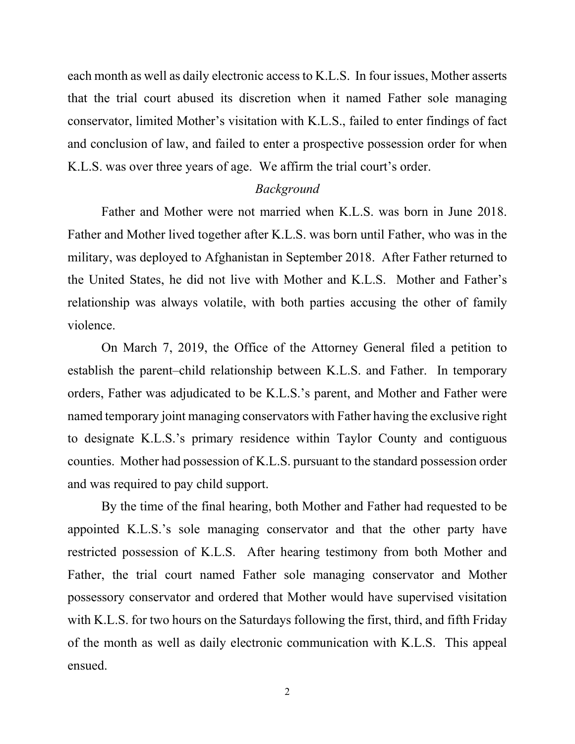each month as well as daily electronic access to K.L.S. In four issues, Mother asserts that the trial court abused its discretion when it named Father sole managing conservator, limited Mother's visitation with K.L.S., failed to enter findings of fact and conclusion of law, and failed to enter a prospective possession order for when K.L.S. was over three years of age. We affirm the trial court's order.

#### *Background*

Father and Mother were not married when K.L.S. was born in June 2018. Father and Mother lived together after K.L.S. was born until Father, who was in the military, was deployed to Afghanistan in September 2018. After Father returned to the United States, he did not live with Mother and K.L.S. Mother and Father's relationship was always volatile, with both parties accusing the other of family violence.

On March 7, 2019, the Office of the Attorney General filed a petition to establish the parent–child relationship between K.L.S. and Father. In temporary orders, Father was adjudicated to be K.L.S.'s parent, and Mother and Father were named temporary joint managing conservators with Father having the exclusive right to designate K.L.S.'s primary residence within Taylor County and contiguous counties. Mother had possession of K.L.S. pursuant to the standard possession order and was required to pay child support.

By the time of the final hearing, both Mother and Father had requested to be appointed K.L.S.'s sole managing conservator and that the other party have restricted possession of K.L.S. After hearing testimony from both Mother and Father, the trial court named Father sole managing conservator and Mother possessory conservator and ordered that Mother would have supervised visitation with K.L.S. for two hours on the Saturdays following the first, third, and fifth Friday of the month as well as daily electronic communication with K.L.S. This appeal ensued.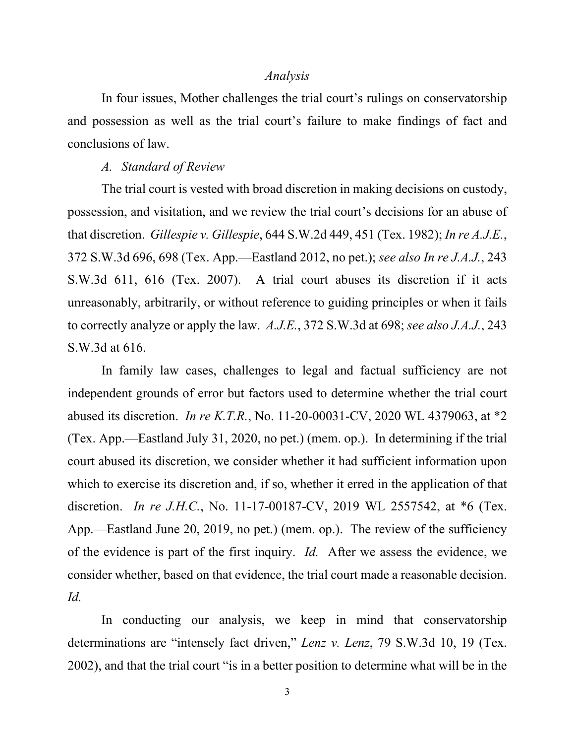#### *Analysis*

In four issues, Mother challenges the trial court's rulings on conservatorship and possession as well as the trial court's failure to make findings of fact and conclusions of law.

#### *A. Standard of Review*

The trial court is vested with broad discretion in making decisions on custody, possession, and visitation, and we review the trial court's decisions for an abuse of that discretion. *Gillespie v. Gillespie*, 644 S.W.2d 449, 451 (Tex. 1982); *In re A.J.E.*, 372 S.W.3d 696, 698 (Tex. App.—Eastland 2012, no pet.); *see also In re J.A.J.*, 243 S.W.3d 611, 616 (Tex. 2007). A trial court abuses its discretion if it acts unreasonably, arbitrarily, or without reference to guiding principles or when it fails to correctly analyze or apply the law. *A.J.E.*, 372 S.W.3d at 698; *see also J.A.J.*, 243 S.W.3d at 616.

In family law cases, challenges to legal and factual sufficiency are not independent grounds of error but factors used to determine whether the trial court abused its discretion. *In re K.T.R.*, No. 11-20-00031-CV, 2020 WL 4379063, at \*2 (Tex. App.—Eastland July 31, 2020, no pet.) (mem. op.). In determining if the trial court abused its discretion, we consider whether it had sufficient information upon which to exercise its discretion and, if so, whether it erred in the application of that discretion. *In re J.H.C.*, No. 11-17-00187-CV, 2019 WL 2557542, at \*6 (Tex. App.—Eastland June 20, 2019, no pet.) (mem. op.). The review of the sufficiency of the evidence is part of the first inquiry. *Id.* After we assess the evidence, we consider whether, based on that evidence, the trial court made a reasonable decision. *Id.*

In conducting our analysis, we keep in mind that conservatorship determinations are "intensely fact driven," *Lenz v. Lenz*, 79 S.W.3d 10, 19 (Tex. 2002), and that the trial court "is in a better position to determine what will be in the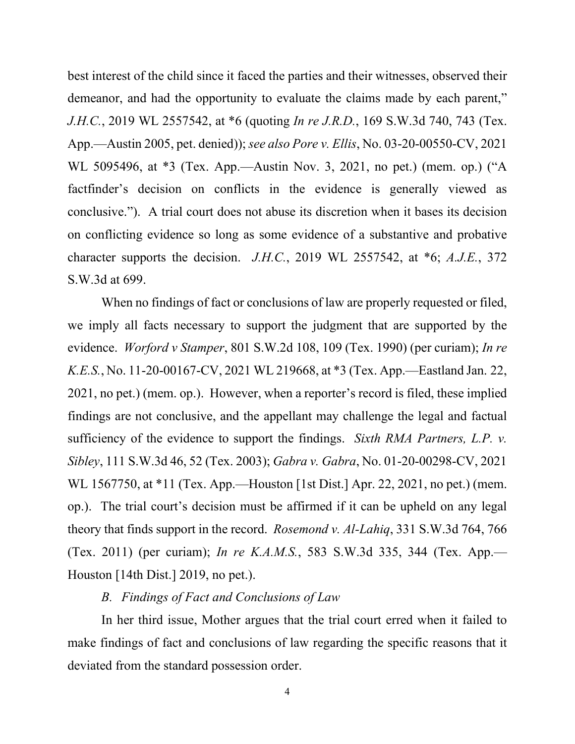best interest of the child since it faced the parties and their witnesses, observed their demeanor, and had the opportunity to evaluate the claims made by each parent," *J.H.C.*, 2019 WL 2557542, at \*6 (quoting *In re J.R.D.*, 169 S.W.3d 740, 743 (Tex. App.—Austin 2005, pet. denied)); *see also Pore v. Ellis*, No. 03-20-00550-CV, 2021 WL 5095496, at \*3 (Tex. App.—Austin Nov. 3, 2021, no pet.) (mem. op.) ("A factfinder's decision on conflicts in the evidence is generally viewed as conclusive."). A trial court does not abuse its discretion when it bases its decision on conflicting evidence so long as some evidence of a substantive and probative character supports the decision. *J.H.C.*, 2019 WL 2557542, at \*6; *A.J.E.*, 372 S.W.3d at 699.

When no findings of fact or conclusions of law are properly requested or filed, we imply all facts necessary to support the judgment that are supported by the evidence. *Worford v Stamper*, 801 S.W.2d 108, 109 (Tex. 1990) (per curiam); *In re K.E.S.*, No. 11-20-00167-CV, 2021 WL 219668, at \*3 (Tex. App.—Eastland Jan. 22, 2021, no pet.) (mem. op.). However, when a reporter's record is filed, these implied findings are not conclusive, and the appellant may challenge the legal and factual sufficiency of the evidence to support the findings. *Sixth RMA Partners, L.P. v. Sibley*, 111 S.W.3d 46, 52 (Tex. 2003); *Gabra v. Gabra*, No. 01-20-00298-CV, 2021 WL 1567750, at \*11 (Tex. App.—Houston [1st Dist.] Apr. 22, 2021, no pet.) (mem. op.). The trial court's decision must be affirmed if it can be upheld on any legal theory that finds support in the record. *Rosemond v. Al-Lahiq*, 331 S.W.3d 764, 766 (Tex. 2011) (per curiam); *In re K.A.M.S.*, 583 S.W.3d 335, 344 (Tex. App.— Houston [14th Dist.] 2019, no pet.).

*B. Findings of Fact and Conclusions of Law*

In her third issue, Mother argues that the trial court erred when it failed to make findings of fact and conclusions of law regarding the specific reasons that it deviated from the standard possession order.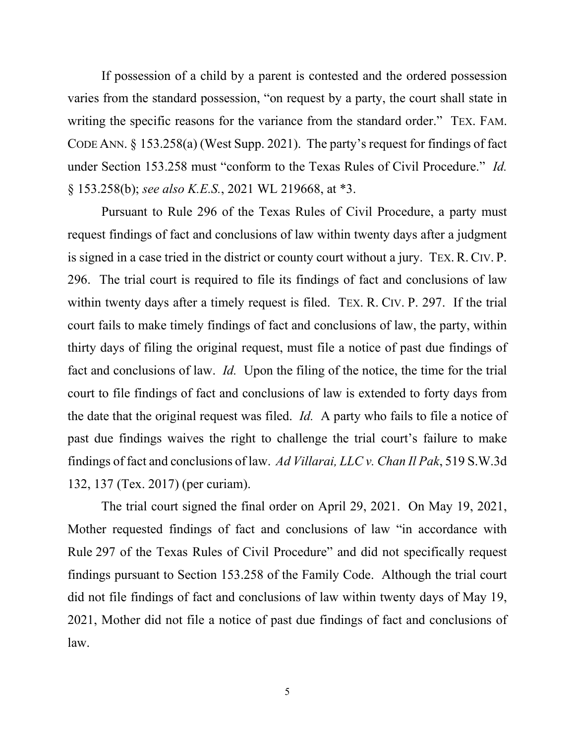If possession of a child by a parent is contested and the ordered possession varies from the standard possession, "on request by a party, the court shall state in writing the specific reasons for the variance from the standard order." TEX. FAM. CODE ANN. § 153.258(a) (West Supp. 2021). The party's request for findings of fact under Section 153.258 must "conform to the Texas Rules of Civil Procedure." *Id.* § 153.258(b); *see also K.E.S.*, 2021 WL 219668, at \*3.

Pursuant to Rule 296 of the Texas Rules of Civil Procedure, a party must request findings of fact and conclusions of law within twenty days after a judgment is signed in a case tried in the district or county court without a jury. TEX. R. CIV. P. 296. The trial court is required to file its findings of fact and conclusions of law within twenty days after a timely request is filed. TEX. R. CIV. P. 297. If the trial court fails to make timely findings of fact and conclusions of law, the party, within thirty days of filing the original request, must file a notice of past due findings of fact and conclusions of law. *Id.* Upon the filing of the notice, the time for the trial court to file findings of fact and conclusions of law is extended to forty days from the date that the original request was filed. *Id.* A party who fails to file a notice of past due findings waives the right to challenge the trial court's failure to make findings of fact and conclusions of law. *Ad Villarai, LLC v. Chan Il Pak*, 519 S.W.3d 132, 137 (Tex. 2017) (per curiam).

The trial court signed the final order on April 29, 2021. On May 19, 2021, Mother requested findings of fact and conclusions of law "in accordance with Rule 297 of the Texas Rules of Civil Procedure" and did not specifically request findings pursuant to Section 153.258 of the Family Code. Although the trial court did not file findings of fact and conclusions of law within twenty days of May 19, 2021, Mother did not file a notice of past due findings of fact and conclusions of law.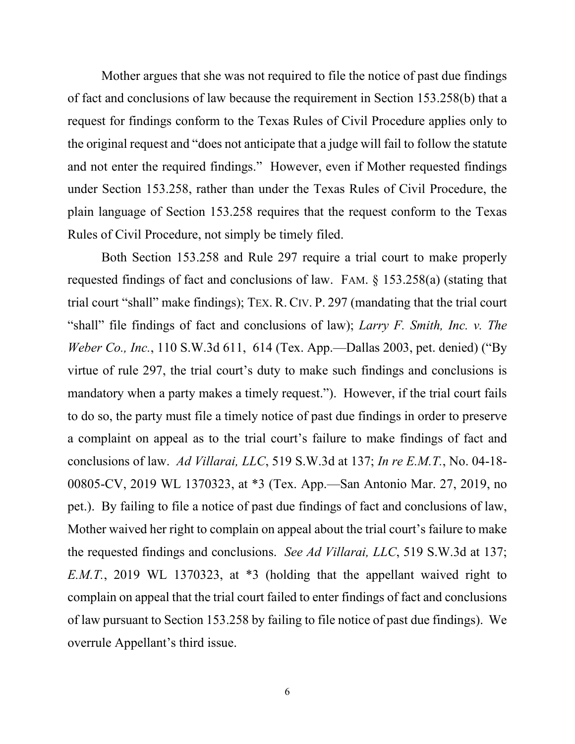Mother argues that she was not required to file the notice of past due findings of fact and conclusions of law because the requirement in Section 153.258(b) that a request for findings conform to the Texas Rules of Civil Procedure applies only to the original request and "does not anticipate that a judge will fail to follow the statute and not enter the required findings." However, even if Mother requested findings under Section 153.258, rather than under the Texas Rules of Civil Procedure, the plain language of Section 153.258 requires that the request conform to the Texas Rules of Civil Procedure, not simply be timely filed.

Both Section 153.258 and Rule 297 require a trial court to make properly requested findings of fact and conclusions of law. FAM. § 153.258(a) (stating that trial court "shall" make findings); TEX. R. CIV. P. 297 (mandating that the trial court "shall" file findings of fact and conclusions of law); *Larry F. Smith, Inc. v. The Weber Co., Inc.*, 110 S.W.3d 611, 614 (Tex. App.—Dallas 2003, pet. denied) ("By virtue of rule 297, the trial court's duty to make such findings and conclusions is mandatory when a party makes a timely request."). However, if the trial court fails to do so, the party must file a timely notice of past due findings in order to preserve a complaint on appeal as to the trial court's failure to make findings of fact and conclusions of law. *Ad Villarai, LLC*, 519 S.W.3d at 137; *In re E.M.T.*, No. 04-18- 00805-CV, 2019 WL 1370323, at \*3 (Tex. App.—San Antonio Mar. 27, 2019, no pet.). By failing to file a notice of past due findings of fact and conclusions of law, Mother waived her right to complain on appeal about the trial court's failure to make the requested findings and conclusions. *See Ad Villarai, LLC*, 519 S.W.3d at 137; *E.M.T.*, 2019 WL 1370323, at \*3 (holding that the appellant waived right to complain on appeal that the trial court failed to enter findings of fact and conclusions of law pursuant to Section 153.258 by failing to file notice of past due findings). We overrule Appellant's third issue.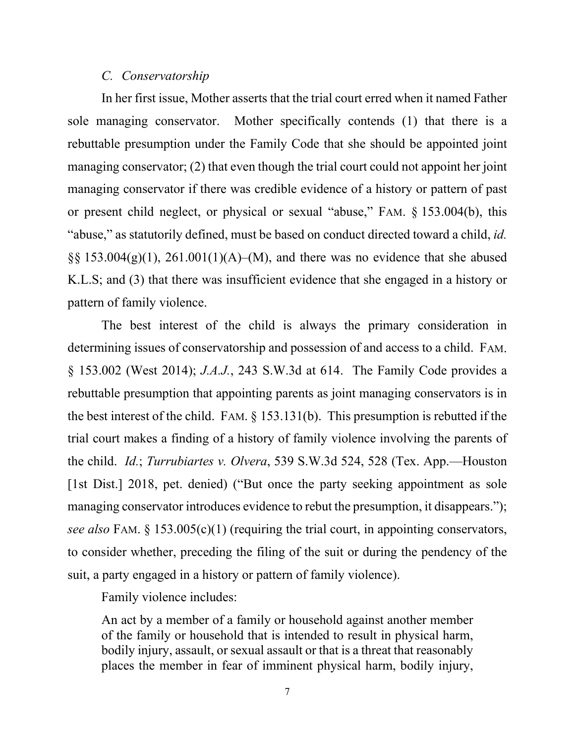#### *C. Conservatorship*

In her first issue, Mother asserts that the trial court erred when it named Father sole managing conservator. Mother specifically contends (1) that there is a rebuttable presumption under the Family Code that she should be appointed joint managing conservator; (2) that even though the trial court could not appoint her joint managing conservator if there was credible evidence of a history or pattern of past or present child neglect, or physical or sexual "abuse," FAM. § 153.004(b), this "abuse," as statutorily defined, must be based on conduct directed toward a child, *id.*  §§ 153.004(g)(1), 261.001(1)(A)–(M), and there was no evidence that she abused K.L.S; and (3) that there was insufficient evidence that she engaged in a history or pattern of family violence.

The best interest of the child is always the primary consideration in determining issues of conservatorship and possession of and access to a child. FAM. § 153.002 (West 2014); *J.A.J.*, 243 S.W.3d at 614. The Family Code provides a rebuttable presumption that appointing parents as joint managing conservators is in the best interest of the child. FAM. § 153.131(b). This presumption is rebutted if the trial court makes a finding of a history of family violence involving the parents of the child. *Id.*; *Turrubiartes v. Olvera*, 539 S.W.3d 524, 528 (Tex. App.—Houston [1st Dist.] 2018, pet. denied) ("But once the party seeking appointment as sole managing conservator introduces evidence to rebut the presumption, it disappears."); *see also* FAM. § 153.005(c)(1) (requiring the trial court, in appointing conservators, to consider whether, preceding the filing of the suit or during the pendency of the suit, a party engaged in a history or pattern of family violence).

Family violence includes:

An act by a member of a family or household against another member of the family or household that is intended to result in physical harm, bodily injury, assault, or sexual assault or that is a threat that reasonably places the member in fear of imminent physical harm, bodily injury,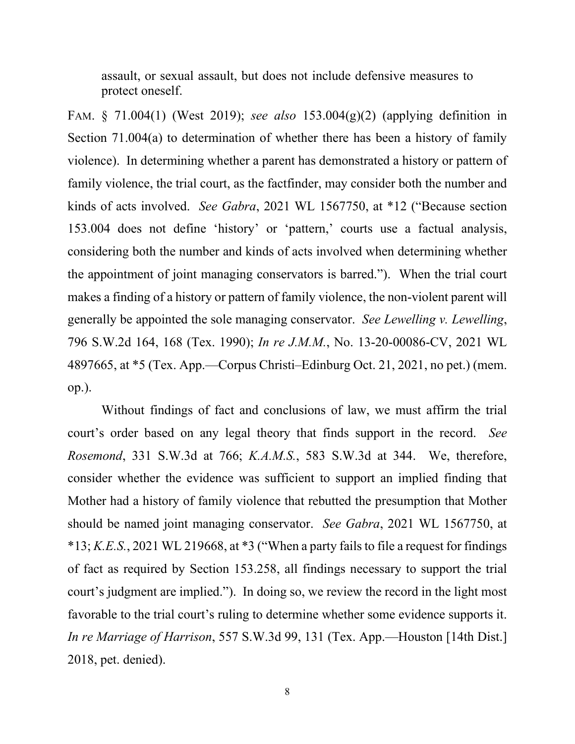assault, or sexual assault, but does not include defensive measures to protect oneself.

FAM. § 71.004(1) (West 2019); *see also* 153.004(g)(2) (applying definition in Section 71.004(a) to determination of whether there has been a history of family violence). In determining whether a parent has demonstrated a history or pattern of family violence, the trial court, as the factfinder, may consider both the number and kinds of acts involved. *See Gabra*, 2021 WL 1567750, at \*12 ("Because section 153.004 does not define 'history' or 'pattern,' courts use a factual analysis, considering both the number and kinds of acts involved when determining whether the appointment of joint managing conservators is barred."). When the trial court makes a finding of a history or pattern of family violence, the non-violent parent will generally be appointed the sole managing conservator. *See Lewelling v. Lewelling*, 796 S.W.2d 164, 168 (Tex. 1990); *In re J.M.M.*, No. 13-20-00086-CV, 2021 WL 4897665, at \*5 (Tex. App.—Corpus Christi–Edinburg Oct. 21, 2021, no pet.) (mem. op.).

Without findings of fact and conclusions of law, we must affirm the trial court's order based on any legal theory that finds support in the record. *See Rosemond*, 331 S.W.3d at 766; *K.A.M.S.*, 583 S.W.3d at 344. We, therefore, consider whether the evidence was sufficient to support an implied finding that Mother had a history of family violence that rebutted the presumption that Mother should be named joint managing conservator. *See Gabra*, 2021 WL 1567750, at \*13; *K.E.S.*, 2021 WL 219668, at \*3 ("When a party fails to file a request for findings of fact as required by Section 153.258, all findings necessary to support the trial court's judgment are implied."). In doing so, we review the record in the light most favorable to the trial court's ruling to determine whether some evidence supports it. *In re Marriage of Harrison*, 557 S.W.3d 99, 131 (Tex. App.—Houston [14th Dist.] 2018, pet. denied).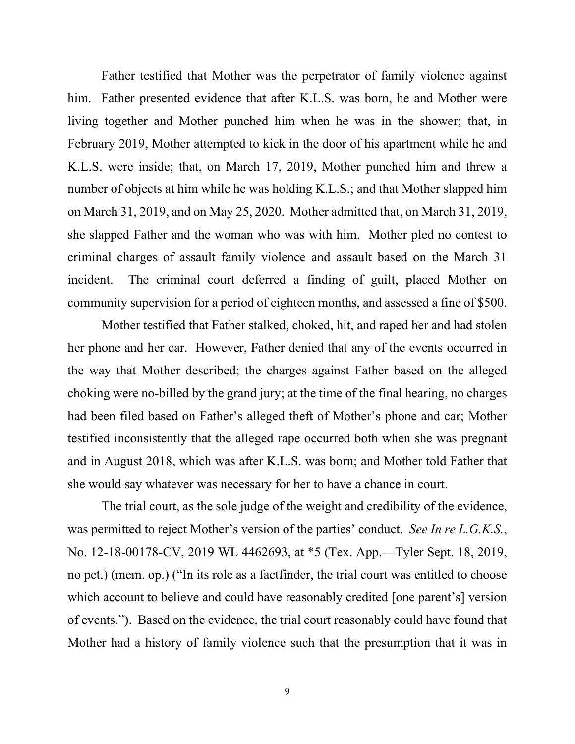Father testified that Mother was the perpetrator of family violence against him. Father presented evidence that after K.L.S. was born, he and Mother were living together and Mother punched him when he was in the shower; that, in February 2019, Mother attempted to kick in the door of his apartment while he and K.L.S. were inside; that, on March 17, 2019, Mother punched him and threw a number of objects at him while he was holding K.L.S.; and that Mother slapped him on March 31, 2019, and on May 25, 2020. Mother admitted that, on March 31, 2019, she slapped Father and the woman who was with him. Mother pled no contest to criminal charges of assault family violence and assault based on the March 31 incident. The criminal court deferred a finding of guilt, placed Mother on community supervision for a period of eighteen months, and assessed a fine of \$500.

Mother testified that Father stalked, choked, hit, and raped her and had stolen her phone and her car. However, Father denied that any of the events occurred in the way that Mother described; the charges against Father based on the alleged choking were no-billed by the grand jury; at the time of the final hearing, no charges had been filed based on Father's alleged theft of Mother's phone and car; Mother testified inconsistently that the alleged rape occurred both when she was pregnant and in August 2018, which was after K.L.S. was born; and Mother told Father that she would say whatever was necessary for her to have a chance in court.

The trial court, as the sole judge of the weight and credibility of the evidence, was permitted to reject Mother's version of the parties' conduct. *See In re L.G.K.S.*, No. 12-18-00178-CV, 2019 WL 4462693, at \*5 (Tex. App.—Tyler Sept. 18, 2019, no pet.) (mem. op.) ("In its role as a factfinder, the trial court was entitled to choose which account to believe and could have reasonably credited [one parent's] version of events."). Based on the evidence, the trial court reasonably could have found that Mother had a history of family violence such that the presumption that it was in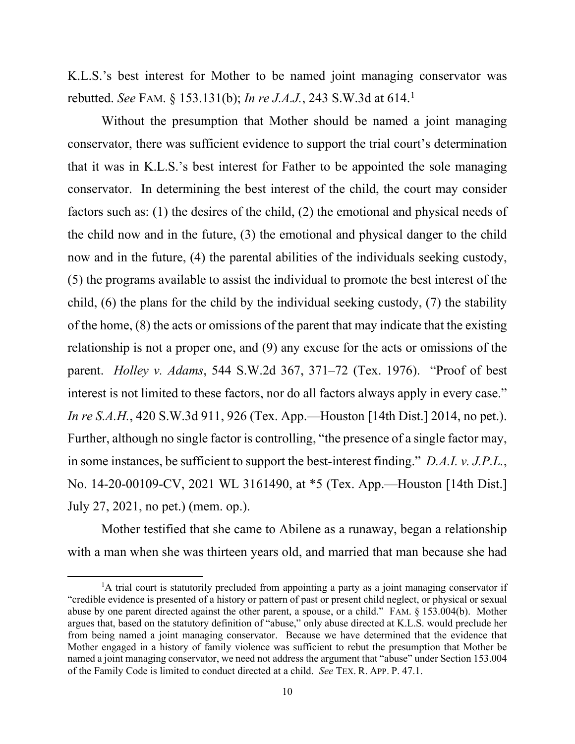K.L.S.'s best interest for Mother to be named joint managing conservator was rebutted. *See* FAM. § 153.131(b); *In re J.A.J.*, 243 S.W.3d at 614.[1](#page-9-0)

Without the presumption that Mother should be named a joint managing conservator, there was sufficient evidence to support the trial court's determination that it was in K.L.S.'s best interest for Father to be appointed the sole managing conservator. In determining the best interest of the child, the court may consider factors such as: (1) the desires of the child, (2) the emotional and physical needs of the child now and in the future, (3) the emotional and physical danger to the child now and in the future, (4) the parental abilities of the individuals seeking custody, (5) the programs available to assist the individual to promote the best interest of the child, (6) the plans for the child by the individual seeking custody, (7) the stability of the home, (8) the acts or omissions of the parent that may indicate that the existing relationship is not a proper one, and (9) any excuse for the acts or omissions of the parent. *Holley v. Adams*, 544 S.W.2d 367, 371–72 (Tex. 1976). "Proof of best interest is not limited to these factors, nor do all factors always apply in every case." *In re S.A.H.*, 420 S.W.3d 911, 926 (Tex. App.—Houston [14th Dist.] 2014, no pet.). Further, although no single factor is controlling, "the presence of a single factor may, in some instances, be sufficient to support the best-interest finding." *D.A.I. v. J.P.L.*, No. 14-20-00109-CV, 2021 WL 3161490, at \*5 (Tex. App.—Houston [14th Dist.] July 27, 2021, no pet.) (mem. op.).

Mother testified that she came to Abilene as a runaway, began a relationship with a man when she was thirteen years old, and married that man because she had

<span id="page-9-0"></span><sup>&</sup>lt;sup>1</sup>A trial court is statutorily precluded from appointing a party as a joint managing conservator if "credible evidence is presented of a history or pattern of past or present child neglect, or physical or sexual abuse by one parent directed against the other parent, a spouse, or a child." FAM. § 153.004(b). Mother argues that, based on the statutory definition of "abuse," only abuse directed at K.L.S. would preclude her from being named a joint managing conservator. Because we have determined that the evidence that Mother engaged in a history of family violence was sufficient to rebut the presumption that Mother be named a joint managing conservator, we need not address the argument that "abuse" under Section 153.004 of the Family Code is limited to conduct directed at a child. *See* TEX. R. APP. P. 47.1.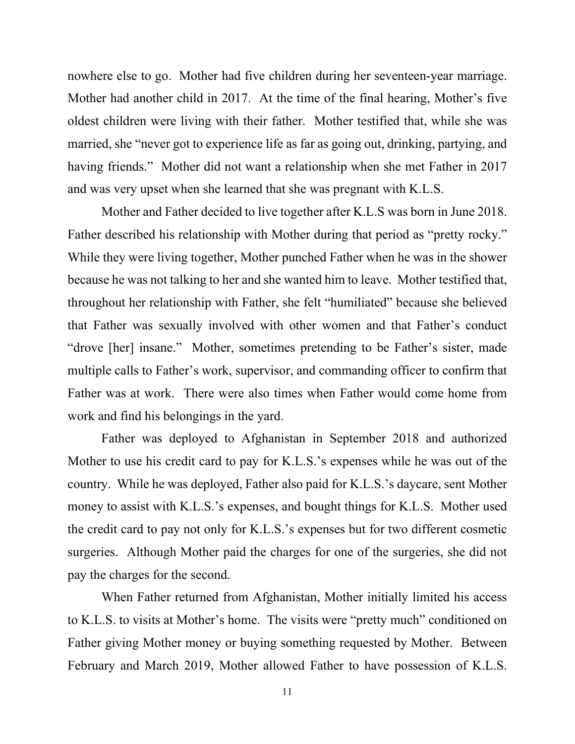nowhere else to go. Mother had five children during her seventeen-year marriage. Mother had another child in 2017. At the time of the final hearing, Mother's five oldest children were living with their father. Mother testified that, while she was married, she "never got to experience life as far as going out, drinking, partying, and having friends." Mother did not want a relationship when she met Father in 2017 and was very upset when she learned that she was pregnant with K.L.S.

Mother and Father decided to live together after K.L.S was born in June 2018. Father described his relationship with Mother during that period as "pretty rocky." While they were living together, Mother punched Father when he was in the shower because he was not talking to her and she wanted him to leave. Mother testified that, throughout her relationship with Father, she felt "humiliated" because she believed that Father was sexually involved with other women and that Father's conduct "drove [her] insane." Mother, sometimes pretending to be Father's sister, made multiple calls to Father's work, supervisor, and commanding officer to confirm that Father was at work. There were also times when Father would come home from work and find his belongings in the yard.

Father was deployed to Afghanistan in September 2018 and authorized Mother to use his credit card to pay for K.L.S.'s expenses while he was out of the country. While he was deployed, Father also paid for K.L.S.'s daycare, sent Mother money to assist with K.L.S.'s expenses, and bought things for K.L.S. Mother used the credit card to pay not only for K.L.S.'s expenses but for two different cosmetic surgeries. Although Mother paid the charges for one of the surgeries, she did not pay the charges for the second.

When Father returned from Afghanistan, Mother initially limited his access to K.L.S. to visits at Mother's home. The visits were "pretty much" conditioned on Father giving Mother money or buying something requested by Mother. Between February and March 2019, Mother allowed Father to have possession of K.L.S.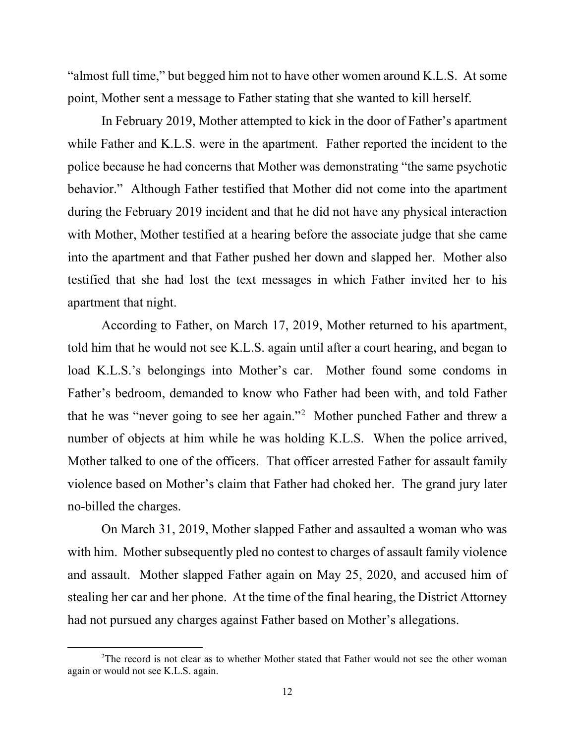"almost full time," but begged him not to have other women around K.L.S. At some point, Mother sent a message to Father stating that she wanted to kill herself.

In February 2019, Mother attempted to kick in the door of Father's apartment while Father and K.L.S. were in the apartment. Father reported the incident to the police because he had concerns that Mother was demonstrating "the same psychotic behavior." Although Father testified that Mother did not come into the apartment during the February 2019 incident and that he did not have any physical interaction with Mother, Mother testified at a hearing before the associate judge that she came into the apartment and that Father pushed her down and slapped her. Mother also testified that she had lost the text messages in which Father invited her to his apartment that night.

According to Father, on March 17, 2019, Mother returned to his apartment, told him that he would not see K.L.S. again until after a court hearing, and began to load K.L.S.'s belongings into Mother's car. Mother found some condoms in Father's bedroom, demanded to know who Father had been with, and told Father that he was "never going to see her again."<sup>[2](#page-11-0)</sup> Mother punched Father and threw a number of objects at him while he was holding K.L.S. When the police arrived, Mother talked to one of the officers. That officer arrested Father for assault family violence based on Mother's claim that Father had choked her. The grand jury later no-billed the charges.

On March 31, 2019, Mother slapped Father and assaulted a woman who was with him. Mother subsequently pled no contest to charges of assault family violence and assault. Mother slapped Father again on May 25, 2020, and accused him of stealing her car and her phone. At the time of the final hearing, the District Attorney had not pursued any charges against Father based on Mother's allegations.

<span id="page-11-0"></span><sup>&</sup>lt;sup>2</sup>The record is not clear as to whether Mother stated that Father would not see the other woman again or would not see K.L.S. again.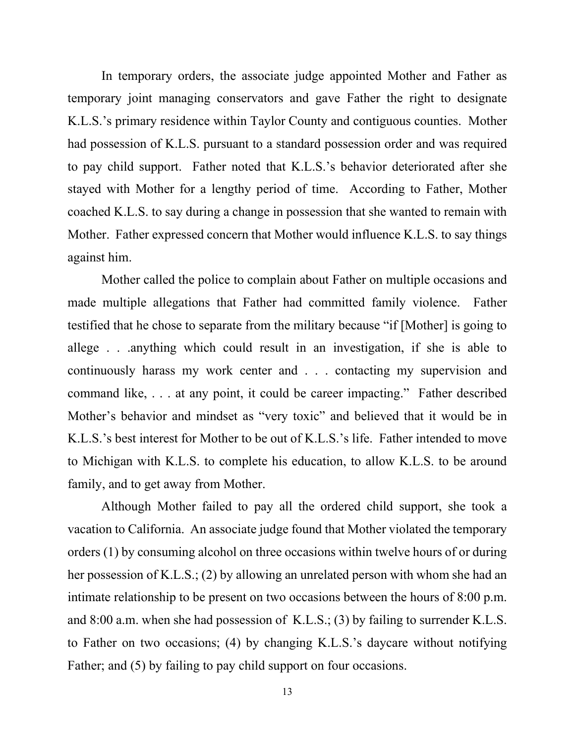In temporary orders, the associate judge appointed Mother and Father as temporary joint managing conservators and gave Father the right to designate K.L.S.'s primary residence within Taylor County and contiguous counties. Mother had possession of K.L.S. pursuant to a standard possession order and was required to pay child support. Father noted that K.L.S.'s behavior deteriorated after she stayed with Mother for a lengthy period of time. According to Father, Mother coached K.L.S. to say during a change in possession that she wanted to remain with Mother. Father expressed concern that Mother would influence K.L.S. to say things against him.

Mother called the police to complain about Father on multiple occasions and made multiple allegations that Father had committed family violence. Father testified that he chose to separate from the military because "if [Mother] is going to allege . . .anything which could result in an investigation, if she is able to continuously harass my work center and . . . contacting my supervision and command like, . . . at any point, it could be career impacting." Father described Mother's behavior and mindset as "very toxic" and believed that it would be in K.L.S.'s best interest for Mother to be out of K.L.S.'s life. Father intended to move to Michigan with K.L.S. to complete his education, to allow K.L.S. to be around family, and to get away from Mother.

Although Mother failed to pay all the ordered child support, she took a vacation to California. An associate judge found that Mother violated the temporary orders (1) by consuming alcohol on three occasions within twelve hours of or during her possession of K.L.S.; (2) by allowing an unrelated person with whom she had an intimate relationship to be present on two occasions between the hours of 8:00 p.m. and 8:00 a.m. when she had possession of K.L.S.; (3) by failing to surrender K.L.S. to Father on two occasions; (4) by changing K.L.S.'s daycare without notifying Father; and (5) by failing to pay child support on four occasions.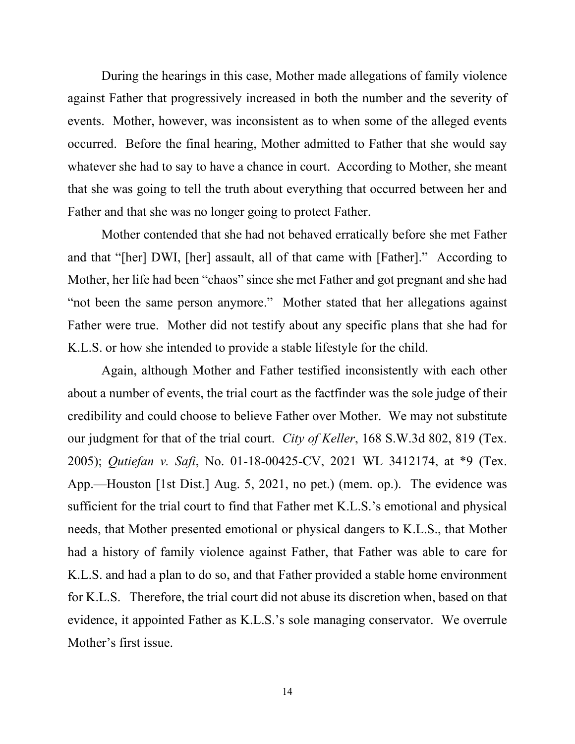During the hearings in this case, Mother made allegations of family violence against Father that progressively increased in both the number and the severity of events. Mother, however, was inconsistent as to when some of the alleged events occurred. Before the final hearing, Mother admitted to Father that she would say whatever she had to say to have a chance in court. According to Mother, she meant that she was going to tell the truth about everything that occurred between her and Father and that she was no longer going to protect Father.

Mother contended that she had not behaved erratically before she met Father and that "[her] DWI, [her] assault, all of that came with [Father]." According to Mother, her life had been "chaos" since she met Father and got pregnant and she had "not been the same person anymore." Mother stated that her allegations against Father were true. Mother did not testify about any specific plans that she had for K.L.S. or how she intended to provide a stable lifestyle for the child.

Again, although Mother and Father testified inconsistently with each other about a number of events, the trial court as the factfinder was the sole judge of their credibility and could choose to believe Father over Mother. We may not substitute our judgment for that of the trial court. *City of Keller*, 168 S.W.3d 802, 819 (Tex. 2005); *Qutiefan v. Safi*, No. 01-18-00425-CV, 2021 WL 3412174, at \*9 (Tex. App.—Houston [1st Dist.] Aug. 5, 2021, no pet.) (mem. op.). The evidence was sufficient for the trial court to find that Father met K.L.S.'s emotional and physical needs, that Mother presented emotional or physical dangers to K.L.S., that Mother had a history of family violence against Father, that Father was able to care for K.L.S. and had a plan to do so, and that Father provided a stable home environment for K.L.S. Therefore, the trial court did not abuse its discretion when, based on that evidence, it appointed Father as K.L.S.'s sole managing conservator. We overrule Mother's first issue.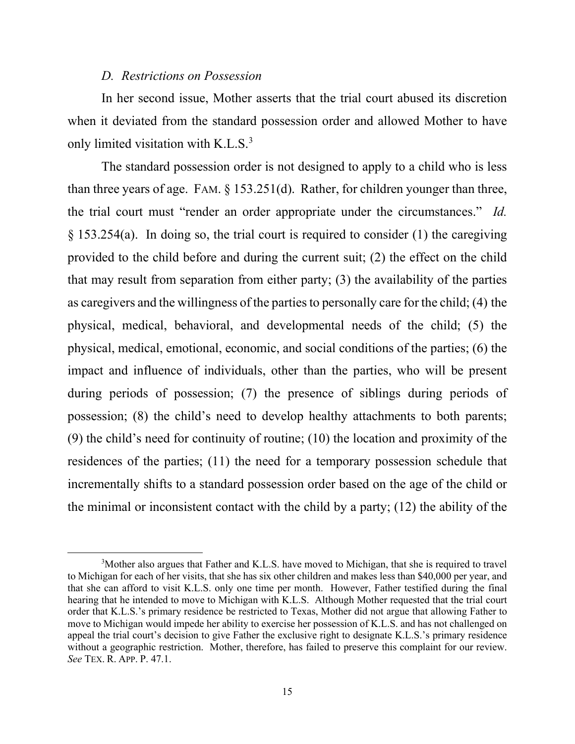#### *D. Restrictions on Possession*

In her second issue, Mother asserts that the trial court abused its discretion when it deviated from the standard possession order and allowed Mother to have only limited visitation with  $K.L.S.<sup>3</sup>$  $K.L.S.<sup>3</sup>$  $K.L.S.<sup>3</sup>$ 

The standard possession order is not designed to apply to a child who is less than three years of age. FAM.  $\S 153.251(d)$ . Rather, for children younger than three, the trial court must "render an order appropriate under the circumstances." *Id.* § 153.254(a). In doing so, the trial court is required to consider (1) the caregiving provided to the child before and during the current suit; (2) the effect on the child that may result from separation from either party; (3) the availability of the parties as caregivers and the willingness of the parties to personally care for the child; (4) the physical, medical, behavioral, and developmental needs of the child; (5) the physical, medical, emotional, economic, and social conditions of the parties; (6) the impact and influence of individuals, other than the parties, who will be present during periods of possession; (7) the presence of siblings during periods of possession; (8) the child's need to develop healthy attachments to both parents; (9) the child's need for continuity of routine; (10) the location and proximity of the residences of the parties; (11) the need for a temporary possession schedule that incrementally shifts to a standard possession order based on the age of the child or the minimal or inconsistent contact with the child by a party; (12) the ability of the

<span id="page-14-0"></span><sup>&</sup>lt;sup>3</sup>Mother also argues that Father and K.L.S. have moved to Michigan, that she is required to travel to Michigan for each of her visits, that she has six other children and makes less than \$40,000 per year, and that she can afford to visit K.L.S. only one time per month. However, Father testified during the final hearing that he intended to move to Michigan with K.L.S. Although Mother requested that the trial court order that K.L.S.'s primary residence be restricted to Texas, Mother did not argue that allowing Father to move to Michigan would impede her ability to exercise her possession of K.L.S. and has not challenged on appeal the trial court's decision to give Father the exclusive right to designate K.L.S.'s primary residence without a geographic restriction. Mother, therefore, has failed to preserve this complaint for our review. *See* TEX. R. APP. P. 47.1.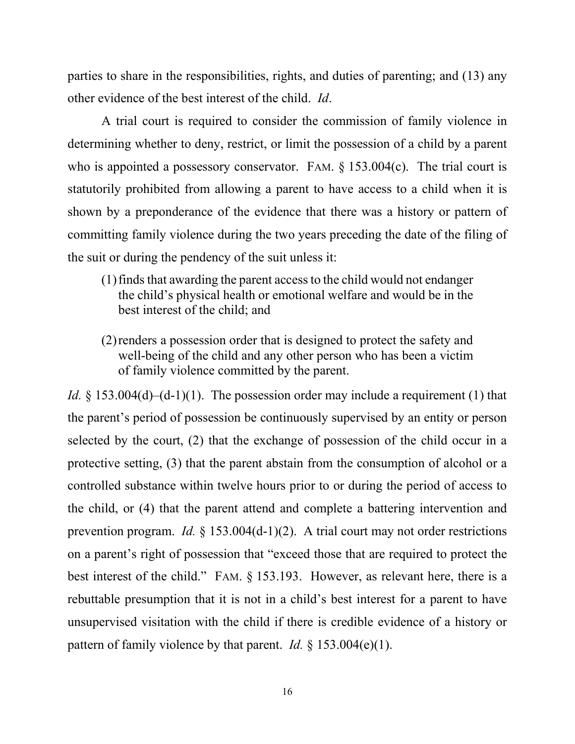parties to share in the responsibilities, rights, and duties of parenting; and (13) any other evidence of the best interest of the child. *Id*.

A trial court is required to consider the commission of family violence in determining whether to deny, restrict, or limit the possession of a child by a parent who is appointed a possessory conservator. FAM.  $\S$  153.004(c). The trial court is statutorily prohibited from allowing a parent to have access to a child when it is shown by a preponderance of the evidence that there was a history or pattern of committing family violence during the two years preceding the date of the filing of the suit or during the pendency of the suit unless it:

- (1)finds that awarding the parent access to the child would not endanger the child's physical health or emotional welfare and would be in the best interest of the child; and
- (2)renders a possession order that is designed to protect the safety and well-being of the child and any other person who has been a victim of family violence committed by the parent.

*Id.* § 153.004(d)–(d-1)(1). The possession order may include a requirement (1) that the parent's period of possession be continuously supervised by an entity or person selected by the court, (2) that the exchange of possession of the child occur in a protective setting, (3) that the parent abstain from the consumption of alcohol or a controlled substance within twelve hours prior to or during the period of access to the child, or (4) that the parent attend and complete a battering intervention and prevention program. *Id.* § 153.004(d-1)(2). A trial court may not order restrictions on a parent's right of possession that "exceed those that are required to protect the best interest of the child." FAM. § 153.193. However, as relevant here, there is a rebuttable presumption that it is not in a child's best interest for a parent to have unsupervised visitation with the child if there is credible evidence of a history or pattern of family violence by that parent. *Id.* § 153.004(e)(1).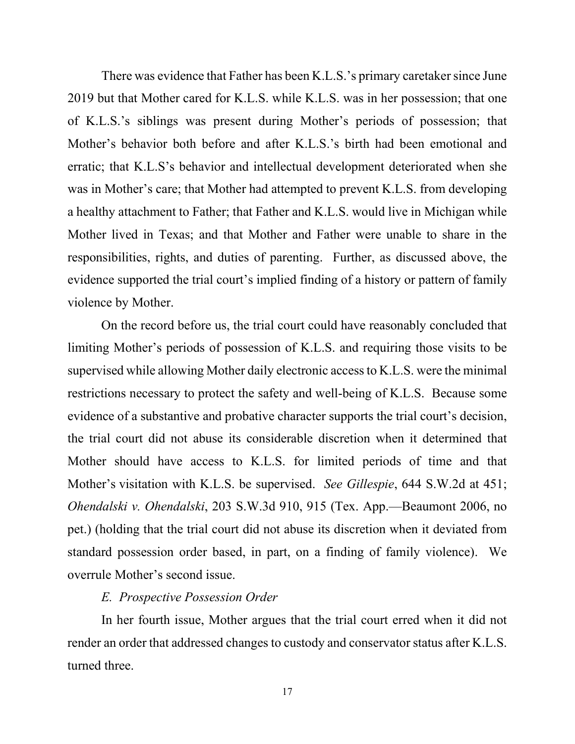There was evidence that Father has been K.L.S.'s primary caretaker since June 2019 but that Mother cared for K.L.S. while K.L.S. was in her possession; that one of K.L.S.'s siblings was present during Mother's periods of possession; that Mother's behavior both before and after K.L.S.'s birth had been emotional and erratic; that K.L.S's behavior and intellectual development deteriorated when she was in Mother's care; that Mother had attempted to prevent K.L.S. from developing a healthy attachment to Father; that Father and K.L.S. would live in Michigan while Mother lived in Texas; and that Mother and Father were unable to share in the responsibilities, rights, and duties of parenting. Further, as discussed above, the evidence supported the trial court's implied finding of a history or pattern of family violence by Mother.

On the record before us, the trial court could have reasonably concluded that limiting Mother's periods of possession of K.L.S. and requiring those visits to be supervised while allowing Mother daily electronic access to K.L.S. were the minimal restrictions necessary to protect the safety and well-being of K.L.S. Because some evidence of a substantive and probative character supports the trial court's decision, the trial court did not abuse its considerable discretion when it determined that Mother should have access to K.L.S. for limited periods of time and that Mother's visitation with K.L.S. be supervised. *See Gillespie*, 644 S.W.2d at 451; *Ohendalski v. Ohendalski*, 203 S.W.3d 910, 915 (Tex. App.—Beaumont 2006, no pet.) (holding that the trial court did not abuse its discretion when it deviated from standard possession order based, in part, on a finding of family violence). We overrule Mother's second issue.

#### *E. Prospective Possession Order*

In her fourth issue, Mother argues that the trial court erred when it did not render an order that addressed changes to custody and conservator status after K.L.S. turned three.